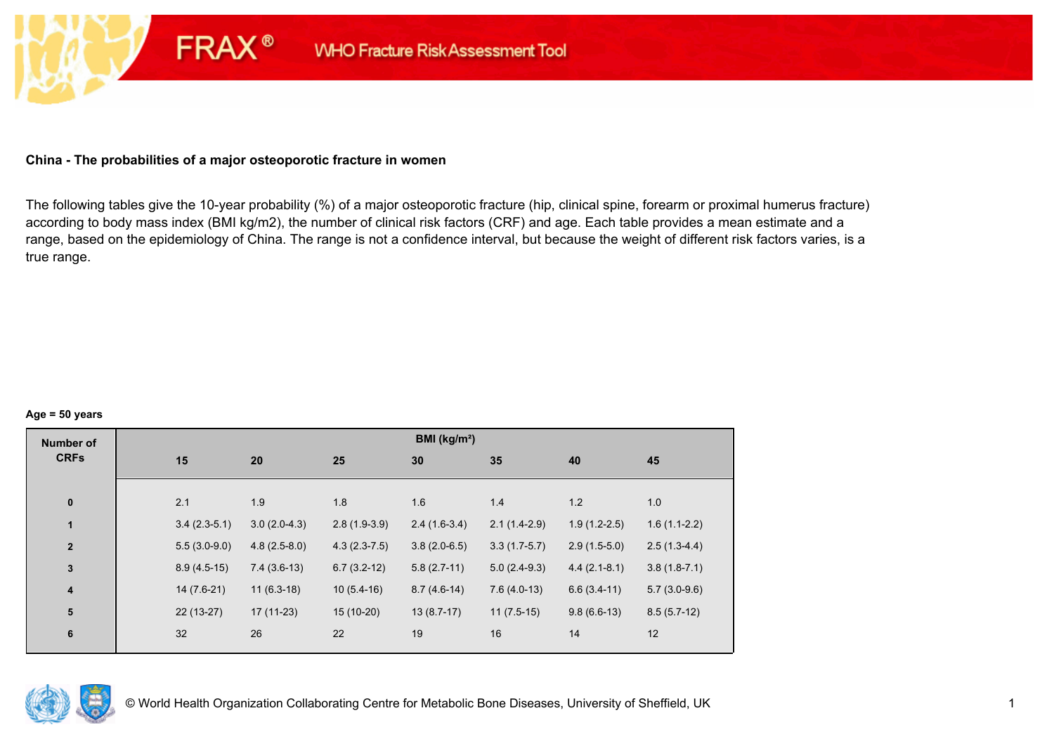## **China - The probabilities of a major osteoporotic fracture in women**

**FRAX®** 

The following tables give the 10-year probability (%) of a major osteoporotic fracture (hip, clinical spine, forearm or proximal humerus fracture) according to body mass index (BMI kg/m2), the number of clinical risk factors (CRF) and age. Each table provides a mean estimate and a range, based on the epidemiology of China. The range is not a confidence interval, but because the weight of different risk factors varies, is a true range.

#### **Age = 50 years**

| <b>Number of</b> |     |                                  |                |                | BMI (kg/m <sup>2</sup> ) |                |                |
|------------------|-----|----------------------------------|----------------|----------------|--------------------------|----------------|----------------|
| <b>CRFs</b>      | 15  | 20                               | 25             | 30             | 35                       | 40             | 45             |
|                  |     |                                  |                |                |                          |                |                |
| $\pmb{0}$        | 2.1 | 1.9                              | 1.8            | 1.6            | 1.4                      | $1.2$          | 1.0            |
| 1                |     | $3.0(2.0-4.3)$<br>$3.4(2.3-5.1)$ | $2.8(1.9-3.9)$ | $2.4(1.6-3.4)$ | $2.1(1.4-2.9)$           | $1.9(1.2-2.5)$ | $1.6(1.1-2.2)$ |
| $\mathbf{2}$     |     | $4.8(2.5-8.0)$<br>$5.5(3.0-9.0)$ | $4.3(2.3-7.5)$ | $3.8(2.0-6.5)$ | $3.3(1.7-5.7)$           | $2.9(1.5-5.0)$ | $2.5(1.3-4.4)$ |
| $\mathbf{3}$     |     | $7.4(3.6-13)$<br>$8.9(4.5-15)$   | $6.7(3.2-12)$  | $5.8(2.7-11)$  | $5.0(2.4-9.3)$           | $4.4(2.1-8.1)$ | $3.8(1.8-7.1)$ |
| $\boldsymbol{4}$ |     | $14(7.6-21)$<br>$11(6.3-18)$     | $10(5.4-16)$   | $8.7(4.6-14)$  | $7.6(4.0-13)$            | $6.6(3.4-11)$  | $5.7(3.0-9.6)$ |
| 5                |     | $22(13-27)$<br>$17(11-23)$       | $15(10-20)$    | $13(8.7-17)$   | $11(7.5-15)$             | $9.8(6.6-13)$  | $8.5(5.7-12)$  |
| $\bf 6$          | 32  | 26                               | 22             | 19             | 16                       | 14             | 12             |
|                  |     |                                  |                |                |                          |                |                |

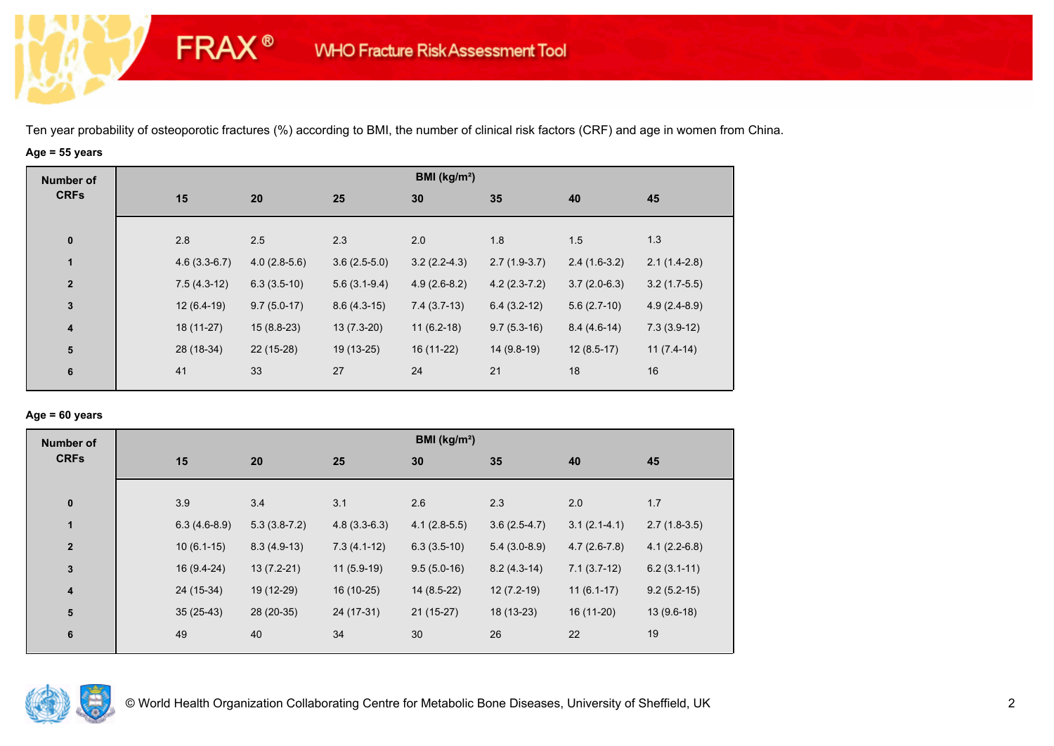# **Age = 55 years**

**FRAX®** 

| <b>Number of</b> |                |                |                | BMI ( $kg/m2$ ) |                |                |                |
|------------------|----------------|----------------|----------------|-----------------|----------------|----------------|----------------|
| <b>CRFs</b>      | 15             | 20             | 25             | 30              | 35             | 40             | 45             |
|                  |                |                |                |                 |                |                |                |
| $\bf{0}$         | 2.8            | 2.5            | 2.3            | 2.0             | 1.8            | 1.5            | 1.3            |
| $\mathbf{1}$     | $4.6(3.3-6.7)$ | $4.0(2.8-5.6)$ | $3.6(2.5-5.0)$ | $3.2(2.2-4.3)$  | $2.7(1.9-3.7)$ | $2.4(1.6-3.2)$ | $2.1(1.4-2.8)$ |
| $\mathbf{2}$     | $7.5(4.3-12)$  | $6.3(3.5-10)$  | $5.6(3.1-9.4)$ | $4.9(2.6-8.2)$  | $4.2(2.3-7.2)$ | $3.7(2.0-6.3)$ | $3.2(1.7-5.5)$ |
| $\mathbf 3$      | $12(6.4-19)$   | $9.7(5.0-17)$  | $8.6(4.3-15)$  | $7.4(3.7-13)$   | $6.4(3.2-12)$  | $5.6(2.7-10)$  | $4.9(2.4-8.9)$ |
| $\boldsymbol{4}$ | 18 (11-27)     | $15(8.8-23)$   | $13(7.3-20)$   | $11(6.2-18)$    | $9.7(5.3-16)$  | $8.4(4.6-14)$  | $7.3(3.9-12)$  |
| ${\bf 5}$        | 28 (18-34)     | 22 (15-28)     | 19 (13-25)     | 16 (11-22)      | 14 (9.8-19)    | $12(8.5-17)$   | $11(7.4-14)$   |
| 6                | 41             | 33             | 27             | 24              | 21             | 18             | 16             |
|                  |                |                |                |                 |                |                |                |

## **Age = 60 years**

| <b>Number of</b> |                |                |                | BMI ( $kg/m2$ ) |                |                |                |
|------------------|----------------|----------------|----------------|-----------------|----------------|----------------|----------------|
| <b>CRFs</b>      | 15             | 20             | 25             | 30              | 35             | 40             | 45             |
|                  |                |                |                |                 |                |                |                |
| $\bf{0}$         | 3.9            | 3.4            | 3.1            | 2.6             | 2.3            | 2.0            | 1.7            |
| $\mathbf{1}$     | $6.3(4.6-8.9)$ | $5.3(3.8-7.2)$ | $4.8(3.3-6.3)$ | $4.1(2.8-5.5)$  | $3.6(2.5-4.7)$ | $3.1(2.1-4.1)$ | $2.7(1.8-3.5)$ |
| $\mathbf{2}$     | $10(6.1-15)$   | $8.3(4.9-13)$  | $7.3(4.1-12)$  | $6.3(3.5-10)$   | $5.4(3.0-8.9)$ | $4.7(2.6-7.8)$ | $4.1(2.2-6.8)$ |
| $\mathbf{3}$     | 16 (9.4-24)    | $13(7.2-21)$   | $11(5.9-19)$   | $9.5(5.0-16)$   | $8.2(4.3-14)$  | $7.1(3.7-12)$  | $6.2(3.1-11)$  |
| $\boldsymbol{4}$ | 24 (15-34)     | 19 (12-29)     | 16 (10-25)     | $14(8.5-22)$    | $12(7.2-19)$   | $11(6.1-17)$   | $9.2(5.2-15)$  |
| 5                | $35(25-43)$    | 28 (20-35)     | 24 (17-31)     | $21(15-27)$     | 18 (13-23)     | 16 (11-20)     | $13(9.6-18)$   |
| 6                | 49             | 40             | 34             | 30              | 26             | 22             | 19             |

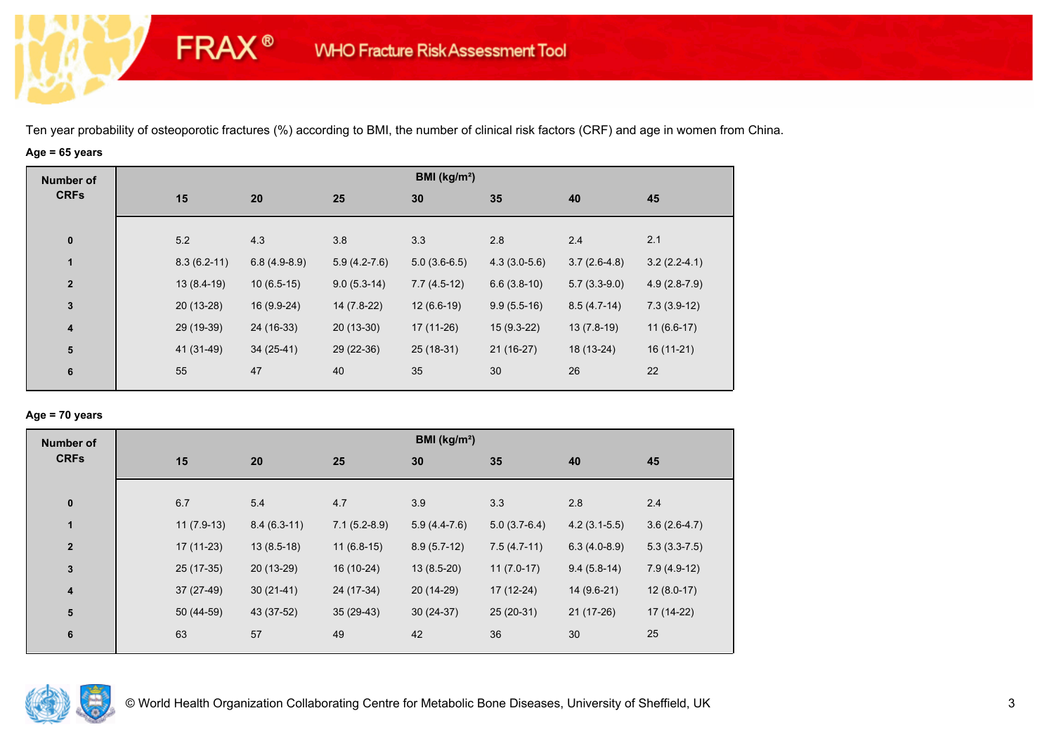# **Age = 65 years**

**FRAX®** 

| <b>Number of</b>        |               |                |                | BMI ( $kg/m2$ ) |                |                |                |
|-------------------------|---------------|----------------|----------------|-----------------|----------------|----------------|----------------|
| <b>CRFs</b>             | 15            | 20             | 25             | 30              | 35             | 40             | 45             |
|                         |               |                |                |                 |                |                |                |
| $\bf{0}$                | 5.2           | 4.3            | 3.8            | 3.3             | 2.8            | 2.4            | 2.1            |
| $\mathbf{1}$            | $8.3(6.2-11)$ | $6.8(4.9-8.9)$ | $5.9(4.2-7.6)$ | $5.0(3.6-6.5)$  | $4.3(3.0-5.6)$ | $3.7(2.6-4.8)$ | $3.2(2.2-4.1)$ |
| $\overline{2}$          | $13(8.4-19)$  | $10(6.5-15)$   | $9.0(5.3-14)$  | $7.7(4.5-12)$   | $6.6(3.8-10)$  | $5.7(3.3-9.0)$ | $4.9(2.8-7.9)$ |
| $\mathbf{3}$            | $20(13-28)$   | 16 (9.9-24)    | 14 (7.8-22)    | $12(6.6-19)$    | $9.9(5.5-16)$  | $8.5(4.7-14)$  | $7.3(3.9-12)$  |
| $\overline{\mathbf{4}}$ | 29 (19-39)    | 24 (16-33)     | $20(13-30)$    | 17 (11-26)      | $15(9.3-22)$   | $13(7.8-19)$   | $11(6.6-17)$   |
| ${\bf 5}$               | 41 (31-49)    | $34(25-41)$    | 29 (22-36)     | $25(18-31)$     | $21(16-27)$    | 18 (13-24)     | $16(11-21)$    |
| 6                       | 55            | 47             | 40             | 35              | 30             | 26             | 22             |
|                         |               |                |                |                 |                |                |                |

## **Age = 70 years**

| <b>Number of</b>        |              |               |                | BMI (kg/m <sup>2</sup> ) |                |                |                |
|-------------------------|--------------|---------------|----------------|--------------------------|----------------|----------------|----------------|
| <b>CRFs</b>             | 15           | 20            | 25             | 30                       | 35             | 40             | 45             |
| $\pmb{0}$               | 6.7          | 5.4           | 4.7            | 3.9                      | 3.3            | 2.8            | 2.4            |
| $\mathbf{1}$            | $11(7.9-13)$ | $8.4(6.3-11)$ | $7.1(5.2-8.9)$ | $5.9(4.4-7.6)$           | $5.0(3.7-6.4)$ | $4.2(3.1-5.5)$ | $3.6(2.6-4.7)$ |
| $\overline{\mathbf{2}}$ | $17(11-23)$  | $13(8.5-18)$  | $11(6.8-15)$   | $8.9(5.7-12)$            | $7.5(4.7-11)$  | $6.3(4.0-8.9)$ | $5.3(3.3-7.5)$ |
| $\mathbf 3$             | 25 (17-35)   | $20(13-29)$   | 16 (10-24)     | $13(8.5-20)$             | $11(7.0-17)$   | $9.4(5.8-14)$  | $7.9(4.9-12)$  |
| $\overline{\mathbf{4}}$ | 37 (27-49)   | $30(21-41)$   | 24 (17-34)     | 20 (14-29)               | $17(12-24)$    | $14(9.6-21)$   | $12(8.0-17)$   |
| ${\bf 5}$               | 50 (44-59)   | 43 (37-52)    | $35(29-43)$    | $30(24-37)$              | $25(20-31)$    | $21(17-26)$    | 17 (14-22)     |
| 6                       | 63           | 57            | 49             | 42                       | 36             | 30             | 25             |

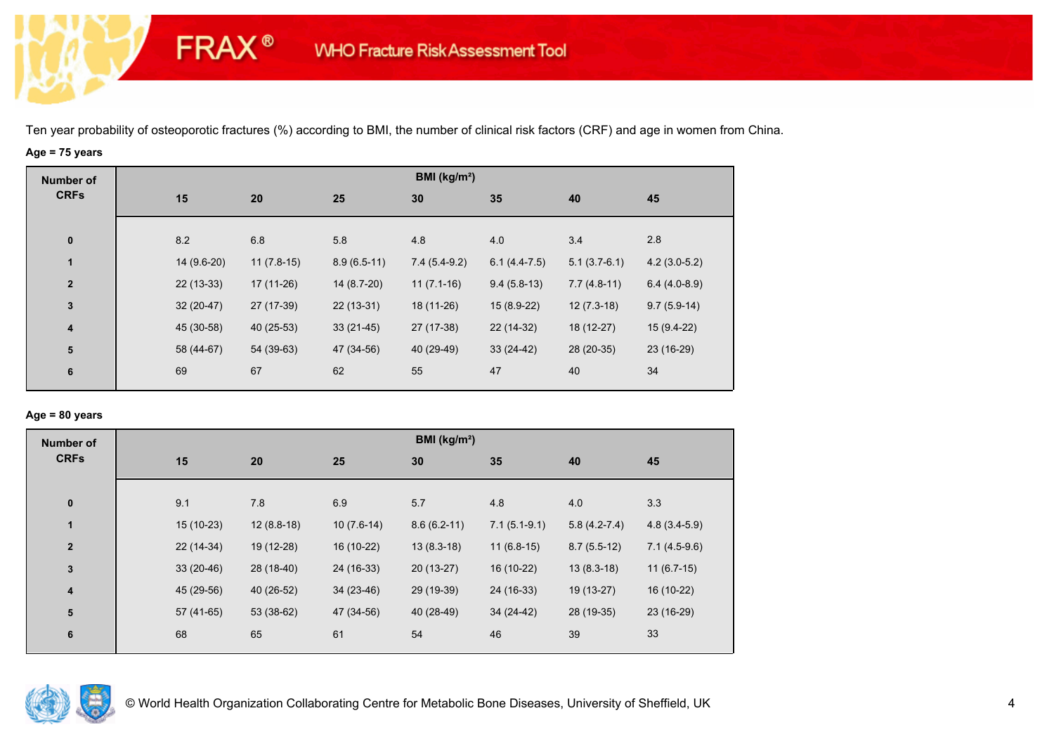# **Age = 75 years**

**FRAX®** 

| <b>Number of</b>        |    |             |              |               | BMI (kg/m <sup>2</sup> ) |                |                |                |
|-------------------------|----|-------------|--------------|---------------|--------------------------|----------------|----------------|----------------|
| <b>CRFs</b>             |    | 15          | 20           | 25            | 30                       | 35             | 40             | 45             |
| $\bf{0}$                |    | 8.2         | 6.8          | 5.8           | 4.8                      | 4.0            | 3.4            | 2.8            |
| $\mathbf{1}$            |    | 14 (9.6-20) | $11(7.8-15)$ | $8.9(6.5-11)$ | $7.4(5.4-9.2)$           | $6.1(4.4-7.5)$ | $5.1(3.7-6.1)$ | $4.2(3.0-5.2)$ |
| $\overline{2}$          |    | $22(13-33)$ | 17 (11-26)   | 14 (8.7-20)   | $11(7.1-16)$             | $9.4(5.8-13)$  | $7.7(4.8-11)$  | $6.4(4.0-8.9)$ |
| $\mathbf{3}$            |    | $32(20-47)$ | 27 (17-39)   | $22(13-31)$   | 18 (11-26)               | $15(8.9-22)$   | $12(7.3-18)$   | $9.7(5.9-14)$  |
| $\overline{\mathbf{4}}$ |    | 45 (30-58)  | 40 (25-53)   | $33(21-45)$   | 27 (17-38)               | 22 (14-32)     | 18 (12-27)     | $15(9.4-22)$   |
| ${\bf 5}$               |    | 58 (44-67)  | 54 (39-63)   | 47 (34-56)    | 40 (29-49)               | $33(24-42)$    | 28 (20-35)     | 23 (16-29)     |
| $\bf 6$                 | 69 |             | 67           | 62            | 55                       | 47             | 40             | 34             |

## **Age = 80 years**

| <b>Number of</b> |             |              |              | BMI ( $kg/m2$ ) |                |                |                |
|------------------|-------------|--------------|--------------|-----------------|----------------|----------------|----------------|
| <b>CRFs</b>      | 15          | 20           | 25           | 30              | 35             | 40             | 45             |
|                  |             |              |              |                 |                |                |                |
| $\pmb{0}$        | 9.1         | 7.8          | 6.9          | 5.7             | 4.8            | 4.0            | 3.3            |
| $\mathbf{1}$     | 15 (10-23)  | $12(8.8-18)$ | $10(7.6-14)$ | $8.6(6.2-11)$   | $7.1(5.1-9.1)$ | $5.8(4.2-7.4)$ | $4.8(3.4-5.9)$ |
| $\overline{2}$   | 22 (14-34)  | 19 (12-28)   | 16 (10-22)   | $13(8.3-18)$    | $11(6.8-15)$   | $8.7(5.5-12)$  | $7.1(4.5-9.6)$ |
| 3                | $33(20-46)$ | 28 (18-40)   | 24 (16-33)   | $20(13-27)$     | 16 (10-22)     | $13(8.3-18)$   | $11(6.7-15)$   |
| 4                | 45 (29-56)  | 40 (26-52)   | $34(23-46)$  | 29 (19-39)      | 24 (16-33)     | 19 (13-27)     | 16 (10-22)     |
| 5                | 57 (41-65)  | 53 (38-62)   | 47 (34-56)   | 40 (28-49)      | 34 (24-42)     | 28 (19-35)     | 23 (16-29)     |
| $6\phantom{1}6$  | 68          | 65           | 61           | 54              | 46             | 39             | 33             |